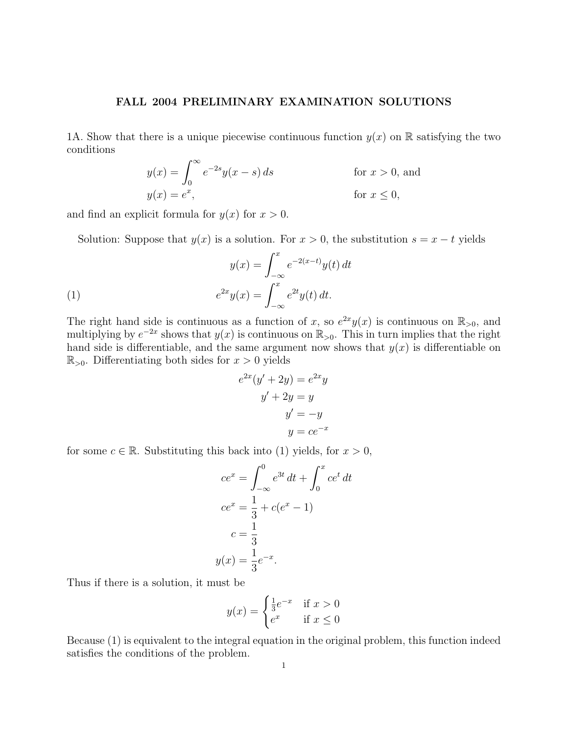## FALL 2004 PRELIMINARY EXAMINATION SOLUTIONS

1A. Show that there is a unique piecewise continuous function  $y(x)$  on R satisfying the two conditions

$$
y(x) = \int_0^\infty e^{-2s} y(x - s) ds
$$
 for  $x > 0$ , and  

$$
y(x) = e^x,
$$
 for  $x \le 0$ ,

and find an explicit formula for  $y(x)$  for  $x > 0$ .

Solution: Suppose that  $y(x)$  is a solution. For  $x > 0$ , the substitution  $s = x - t$  yields

(1) 
$$
y(x) = \int_{-\infty}^{x} e^{-2(x-t)} y(t) dt
$$

$$
e^{2x} y(x) = \int_{-\infty}^{x} e^{2t} y(t) dt.
$$

The right hand side is continuous as a function of x, so  $e^{2x}y(x)$  is continuous on  $\mathbb{R}_{>0}$ , and multiplying by  $e^{-2x}$  shows that  $y(x)$  is continuous on  $\mathbb{R}_{>0}$ . This in turn implies that the right hand side is differentiable, and the same argument now shows that  $y(x)$  is differentiable on  $\mathbb{R}_{>0}$ . Differentiating both sides for  $x > 0$  yields

$$
e^{2x}(y'+2y) = e^{2x}y
$$

$$
y' + 2y = y
$$

$$
y' = -y
$$

$$
y = ce^{-x}
$$

for some  $c \in \mathbb{R}$ . Substituting this back into (1) yields, for  $x > 0$ ,

$$
ce^{x} = \int_{-\infty}^{0} e^{3t} dt + \int_{0}^{x} ce^{t} dt
$$

$$
ce^{x} = \frac{1}{3} + c(e^{x} - 1)
$$

$$
c = \frac{1}{3}
$$

$$
y(x) = \frac{1}{3}e^{-x}.
$$

Thus if there is a solution, it must be

$$
y(x) = \begin{cases} \frac{1}{3}e^{-x} & \text{if } x > 0\\ e^x & \text{if } x \le 0 \end{cases}
$$

Because (1) is equivalent to the integral equation in the original problem, this function indeed satisfies the conditions of the problem.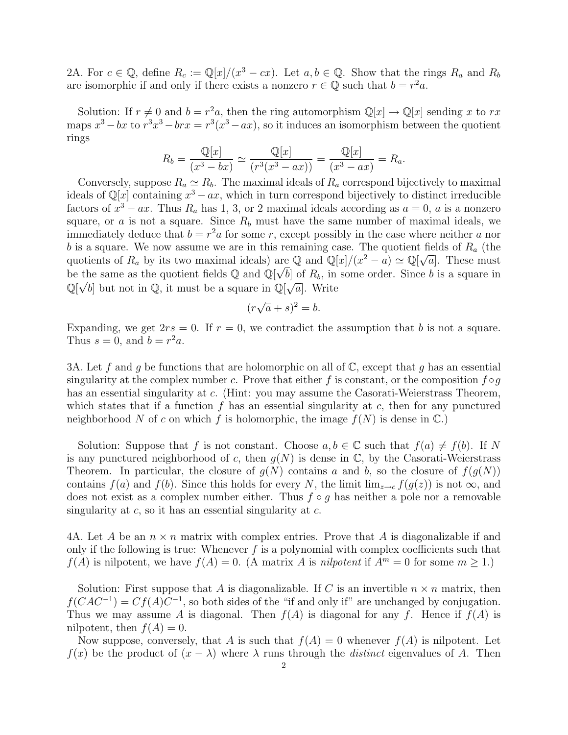2A. For  $c \in \mathbb{Q}$ , define  $R_c := \mathbb{Q}[x]/(x^3 - cx)$ . Let  $a, b \in \mathbb{Q}$ . Show that the rings  $R_a$  and  $R_b$ are isomorphic if and only if there exists a nonzero  $r \in \mathbb{Q}$  such that  $b = r^2 a$ .

Solution: If  $r \neq 0$  and  $b = r^2a$ , then the ring automorphism  $\mathbb{Q}[x] \to \mathbb{Q}[x]$  sending x to rx maps  $x^3 - bx$  to  $r^3x^3 - brx = r^3(x^3 - ax)$ , so it induces an isomorphism between the quotient rings

$$
R_b = \frac{\mathbb{Q}[x]}{(x^3 - bx)} \simeq \frac{\mathbb{Q}[x]}{(r^3(x^3 - ax))} = \frac{\mathbb{Q}[x]}{(x^3 - ax)} = R_a.
$$

Conversely, suppose  $R_a \simeq R_b$ . The maximal ideals of  $R_a$  correspond bijectively to maximal ideals of  $\mathbb{Q}[x]$  containing  $x^3 - ax$ , which in turn correspond bijectively to distinct irreducible factors of  $x^3 - ax$ . Thus  $R_a$  has 1, 3, or 2 maximal ideals according as  $a = 0$ , a is a nonzero square, or a is not a square. Since  $R_b$  must have the same number of maximal ideals, we immediately deduce that  $b = r^2 a$  for some r, except possibly in the case where neither a nor b is a square. We now assume we are in this remaining case. The quotient fields of  $R_a$  (the quotients of  $R_a$  by its two maximal ideals) are  $\mathbb{Q}$  and  $\mathbb{Q}[x]/(x^2 - a) \simeq \mathbb{Q}[\sqrt{a}]$ . These must be the same as the quotient fields  $\mathbb{Q}$  and  $\mathbb{Q}[\sqrt{b}]$  of  $R_b$ , in some order. Since b is a square in  $\mathbb{Q}[\sqrt{b}]$  but not in  $\mathbb{Q}$ , it must be a square in  $\mathbb{Q}[\sqrt{a}]$ . Write

$$
(r\sqrt{a} + s)^2 = b.
$$

Expanding, we get  $2rs = 0$ . If  $r = 0$ , we contradict the assumption that b is not a square. Thus  $s = 0$ , and  $b = r^2 a$ .

3A. Let f and g be functions that are holomorphic on all of  $\mathbb{C}$ , except that g has an essential singularity at the complex number c. Prove that either f is constant, or the composition  $f \circ g$ has an essential singularity at c. (Hint: you may assume the Casorati-Weierstrass Theorem, which states that if a function  $f$  has an essential singularity at  $c$ , then for any punctured neighborhood N of c on which f is holomorphic, the image  $f(N)$  is dense in  $\mathbb{C}$ .)

Solution: Suppose that f is not constant. Choose  $a, b \in \mathbb{C}$  such that  $f(a) \neq f(b)$ . If N is any punctured neighborhood of c, then  $g(N)$  is dense in  $\mathbb{C}$ , by the Casorati-Weierstrass Theorem. In particular, the closure of  $g(N)$  contains a and b, so the closure of  $f(g(N))$ contains  $f(a)$  and  $f(b)$ . Since this holds for every N, the limit  $\lim_{z\to c} f(g(z))$  is not  $\infty$ , and does not exist as a complex number either. Thus  $f \circ q$  has neither a pole nor a removable singularity at  $c$ , so it has an essential singularity at  $c$ .

4A. Let A be an  $n \times n$  matrix with complex entries. Prove that A is diagonalizable if and only if the following is true: Whenever  $f$  is a polynomial with complex coefficients such that  $f(A)$  is nilpotent, we have  $f(A) = 0$ . (A matrix A is nilpotent if  $A<sup>m</sup> = 0$  for some  $m \ge 1$ .)

Solution: First suppose that A is diagonalizable. If C is an invertible  $n \times n$  matrix, then  $f(CAC^{-1}) = Cf(A)C^{-1}$ , so both sides of the "if and only if" are unchanged by conjugation. Thus we may assume A is diagonal. Then  $f(A)$  is diagonal for any f. Hence if  $f(A)$  is nilpotent, then  $f(A) = 0$ .

Now suppose, conversely, that A is such that  $f(A) = 0$  whenever  $f(A)$  is nilpotent. Let  $f(x)$  be the product of  $(x - \lambda)$  where  $\lambda$  runs through the *distinct* eigenvalues of A. Then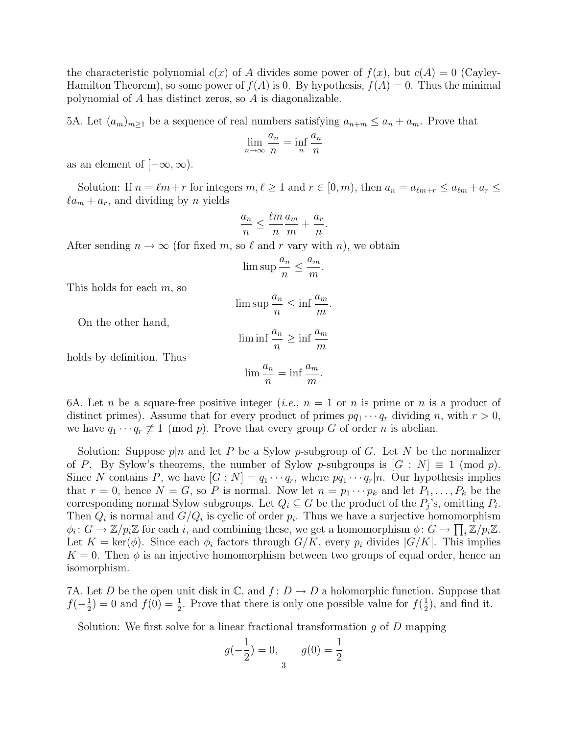the characteristic polynomial  $c(x)$  of A divides some power of  $f(x)$ , but  $c(A) = 0$  (Cayley-Hamilton Theorem), so some power of  $f(A)$  is 0. By hypothesis,  $f(A) = 0$ . Thus the minimal polynomial of A has distinct zeros, so A is diagonalizable.

5A. Let  $(a_m)_{m>1}$  be a sequence of real numbers satisfying  $a_{n+m} \le a_n + a_m$ . Prove that

$$
\lim_{n \to \infty} \frac{a_n}{n} = \inf_n \frac{a_n}{n}
$$

as an element of  $[-\infty, \infty)$ .

Solution: If  $n = \ell m + r$  for integers  $m, \ell \geq 1$  and  $r \in [0, m)$ , then  $a_n = a_{\ell m+r} \leq a_{\ell m} + a_r \leq$  $\ell a_m + a_r$ , and dividing by n yields

$$
\frac{a_n}{n} \le \frac{\ell m}{n} \frac{a_m}{m} + \frac{a_r}{n}.
$$

After sending  $n \to \infty$  (for fixed m, so  $\ell$  and r vary with n), we obtain

$$
\limsup \frac{a_n}{n} \le \frac{a_m}{m}
$$

.

m

.

This holds for each  $m$ , so

$$
\limsup \frac{a_n}{n} \le \inf \frac{a_m}{m}
$$

On the other hand,

$$
\liminf \frac{a_n}{n} \ge \inf \frac{a_m}{m}
$$
  

$$
\lim \frac{a_n}{n} = \inf \frac{a_m}{n}.
$$

n

holds by definition. Thus

6A. Let n be a square-free positive integer (*i.e.*,  $n = 1$  or n is prime or n is a product of distinct primes). Assume that for every product of primes  $pq_1 \cdots q_r$  dividing n, with  $r > 0$ , we have  $q_1 \cdots q_r \not\equiv 1 \pmod{p}$ . Prove that every group G of order n is abelian.

Solution: Suppose  $p|n$  and let P be a Sylow p-subgroup of G. Let N be the normalizer of P. By Sylow's theorems, the number of Sylow p-subgroups is  $[G : N] \equiv 1 \pmod{p}$ . Since N contains P, we have  $[G : N] = q_1 \cdots q_r$ , where  $pq_1 \cdots q_r | n$ . Our hypothesis implies that  $r = 0$ , hence  $N = G$ , so P is normal. Now let  $n = p_1 \cdots p_k$  and let  $P_1, \ldots, P_k$  be the corresponding normal Sylow subgroups. Let  $Q_i \subseteq G$  be the product of the  $P_j$ 's, omitting  $P_i$ . Then  $Q_i$  is normal and  $G/Q_i$  is cyclic of order  $p_i$ . Thus we have a surjective homomorphism  $\phi_i: G \to \mathbb{Z}/p_i\mathbb{Z}$  for each i, and combining these, we get a homomorphism  $\phi: G \to \prod_i \mathbb{Z}/p_i\mathbb{Z}$ . Let  $K = \text{ker}(\phi)$ . Since each  $\phi_i$  factors through  $G/K$ , every  $p_i$  divides  $|G/K|$ . This implies  $K = 0$ . Then  $\phi$  is an injective homomorphism between two groups of equal order, hence an isomorphism.

7A. Let D be the open unit disk in  $\mathbb{C}$ , and  $f: D \to D$  a holomorphic function. Suppose that  $f(-\frac{1}{2})$  $(\frac{1}{2}) = 0$  and  $f(0) = \frac{1}{2}$ . Prove that there is only one possible value for  $f(\frac{1}{2})$  $(\frac{1}{2})$ , and find it.

Solution: We first solve for a linear fractional transformation  $g$  of  $D$  mapping

$$
g(-\frac{1}{2}) = 0,
$$
  $g(0) = \frac{1}{2}$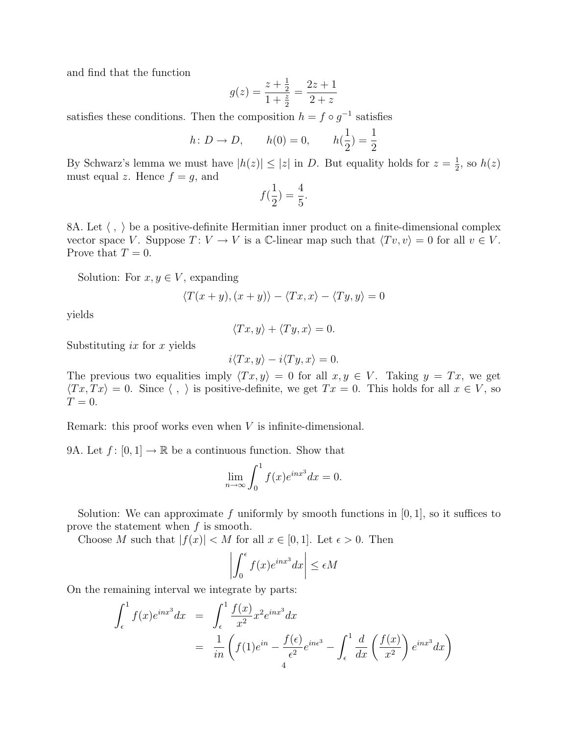and find that the function

$$
g(z) = \frac{z + \frac{1}{2}}{1 + \frac{z}{2}} = \frac{2z + 1}{2 + z}
$$

satisfies these conditions. Then the composition  $h = f \circ g^{-1}$  satisfies

$$
h: D \to D
$$
,  $h(0) = 0$ ,  $h(\frac{1}{2}) = \frac{1}{2}$ 

By Schwarz's lemma we must have  $|h(z)| \leq |z|$  in D. But equality holds for  $z = \frac{1}{2}$  $\frac{1}{2}$ , so  $h(z)$ must equal z. Hence  $f = g$ , and

$$
f(\frac{1}{2}) = \frac{4}{5}.
$$

8A. Let  $\langle , \rangle$  be a positive-definite Hermitian inner product on a finite-dimensional complex vector space V. Suppose  $T: V \to V$  is a C-linear map such that  $\langle Tv, v \rangle = 0$  for all  $v \in V$ . Prove that  $T = 0$ .

Solution: For  $x, y \in V$ , expanding

$$
\langle T(x+y), (x+y) \rangle - \langle Tx, x \rangle - \langle Ty, y \rangle = 0
$$

yields

$$
\langle Tx, y \rangle + \langle Ty, x \rangle = 0.
$$

Substituting  $ix$  for  $x$  yields

$$
i\langle Tx,y\rangle - i\langle Ty,x\rangle = 0.
$$

The previous two equalities imply  $\langle Tx, y \rangle = 0$  for all  $x, y \in V$ . Taking  $y = Tx$ , we get  $\langle Tx, Tx \rangle = 0$ . Since  $\langle , \rangle$  is positive-definite, we get  $Tx = 0$ . This holds for all  $x \in V$ , so  $T=0.$ 

Remark: this proof works even when V is infinite-dimensional.

9A. Let  $f: [0,1] \to \mathbb{R}$  be a continuous function. Show that

$$
\lim_{n \to \infty} \int_0^1 f(x)e^{inx^3} dx = 0.
$$

Solution: We can approximate f uniformly by smooth functions in  $[0, 1]$ , so it suffices to prove the statement when f is smooth.

Choose M such that  $|f(x)| < M$  for all  $x \in [0,1]$ . Let  $\epsilon > 0$ . Then

$$
\left| \int_0^{\epsilon} f(x) e^{inx^3} dx \right| \le \epsilon M
$$

On the remaining interval we integrate by parts:

$$
\int_{\epsilon}^{1} f(x)e^{inx^{3}} dx = \int_{\epsilon}^{1} \frac{f(x)}{x^{2}} x^{2} e^{inx^{3}} dx
$$
  
= 
$$
\frac{1}{in} \left( f(1)e^{in} - \frac{f(\epsilon)}{\epsilon^{2}} e^{ine^{3}} - \int_{\epsilon}^{1} \frac{d}{dx} \left( \frac{f(x)}{x^{2}} \right) e^{inx^{3}} dx \right)
$$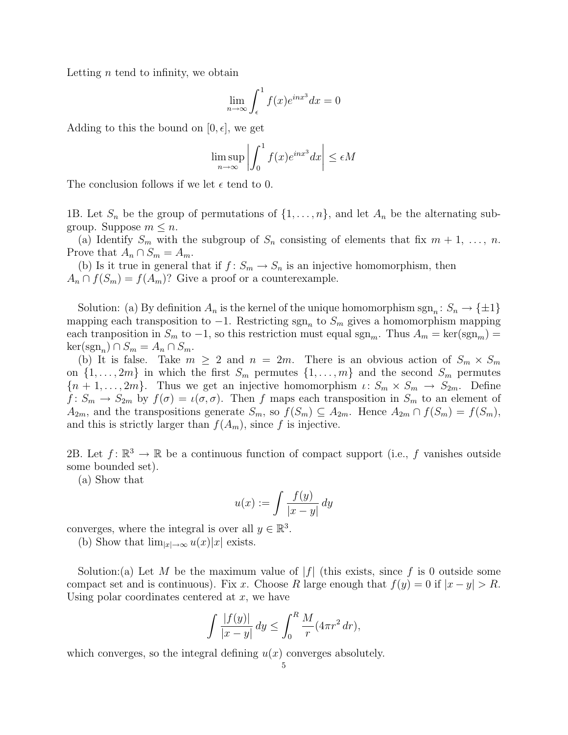Letting  $n$  tend to infinity, we obtain

$$
\lim_{n \to \infty} \int_{\epsilon}^{1} f(x)e^{inx^{3}} dx = 0
$$

Adding to this the bound on  $[0, \epsilon]$ , we get

$$
\limsup_{n \to \infty} \left| \int_0^1 f(x)e^{inx^3} dx \right| \le \epsilon M
$$

The conclusion follows if we let  $\epsilon$  tend to 0.

1B. Let  $S_n$  be the group of permutations of  $\{1, \ldots, n\}$ , and let  $A_n$  be the alternating subgroup. Suppose  $m \leq n$ .

(a) Identify  $S_m$  with the subgroup of  $S_n$  consisting of elements that fix  $m + 1, \ldots, n$ . Prove that  $A_n \cap S_m = A_m$ .

(b) Is it true in general that if  $f: S_m \to S_n$  is an injective homomorphism, then  $A_n \cap f(S_m) = f(A_m)$ ? Give a proof or a counterexample.

Solution: (a) By definition  $A_n$  is the kernel of the unique homomorphism  $sgn_n: S_n \to {\pm 1}$ mapping each transposition to  $-1$ . Restricting sgn<sub>n</sub> to  $S_m$  gives a homomorphism mapping each tranposition in  $S_m$  to  $-1$ , so this restriction must equal sgn<sub>m</sub>. Thus  $A_m = \text{ker}(\text{sgn}_m)$  $\ker(\operatorname{sgn}_n) \cap S_m = A_n \cap S_m.$ 

(b) It is false. Take  $m \geq 2$  and  $n = 2m$ . There is an obvious action of  $S_m \times S_m$ on  $\{1, \ldots, 2m\}$  in which the first  $S_m$  permutes  $\{1, \ldots, m\}$  and the second  $S_m$  permutes  ${n + 1, ..., 2m}$ . Thus we get an injective homomorphism  $\iota: S_m \times S_m \to S_{2m}$ . Define  $f: S_m \to S_{2m}$  by  $f(\sigma) = \iota(\sigma, \sigma)$ . Then f maps each transposition in  $S_m$  to an element of  $A_{2m}$ , and the transpositions generate  $S_m$ , so  $f(S_m) \subseteq A_{2m}$ . Hence  $A_{2m} \cap f(S_m) = f(S_m)$ , and this is strictly larger than  $f(A_m)$ , since f is injective.

2B. Let  $f: \mathbb{R}^3 \to \mathbb{R}$  be a continuous function of compact support (i.e., f vanishes outside some bounded set).

(a) Show that

$$
u(x) := \int \frac{f(y)}{|x - y|} \, dy
$$

converges, where the integral is over all  $y \in \mathbb{R}^3$ .

(b) Show that  $\lim_{|x|\to\infty} u(x)|x|$  exists.

Solution:(a) Let M be the maximum value of  $|f|$  (this exists, since f is 0 outside some compact set and is continuous). Fix x. Choose R large enough that  $f(y) = 0$  if  $|x - y| > R$ . Using polar coordinates centered at  $x$ , we have

$$
\int \frac{|f(y)|}{|x-y|} dy \le \int_0^R \frac{M}{r} (4\pi r^2 dr),
$$

which converges, so the integral defining  $u(x)$  converges absolutely.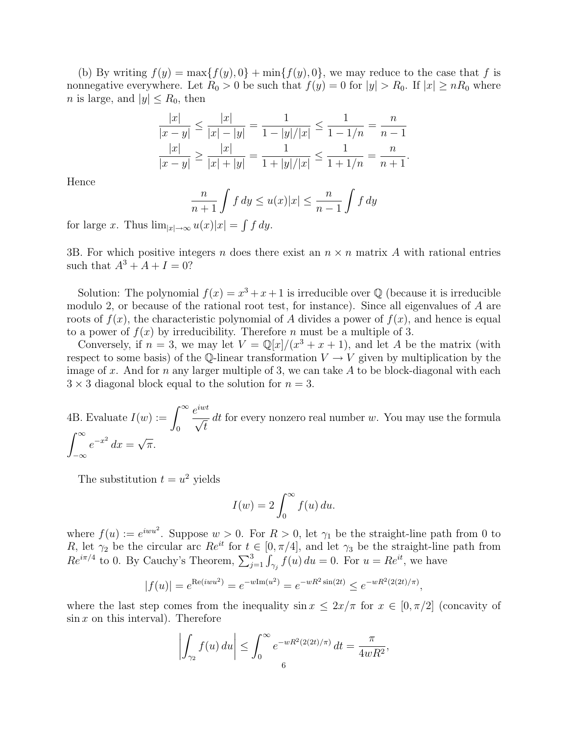(b) By writing  $f(y) = \max\{f(y), 0\} + \min\{f(y), 0\}$ , we may reduce to the case that f is nonnegative everywhere. Let  $R_0 > 0$  be such that  $f(y) = 0$  for  $|y| > R_0$ . If  $|x| \geq nR_0$  where *n* is large, and  $|y| \le R_0$ , then

$$
\frac{|x|}{|x-y|} \le \frac{|x|}{|x|-|y|} = \frac{1}{1-|y|/|x|} \le \frac{1}{1-1/n} = \frac{n}{n-1}
$$
  

$$
\frac{|x|}{|x-y|} \ge \frac{|x|}{|x|+|y|} = \frac{1}{1+|y|/|x|} \le \frac{1}{1+1/n} = \frac{n}{n+1}.
$$

Hence

$$
\frac{n}{n+1} \int f \, dy \le u(x)|x| \le \frac{n}{n-1} \int f \, dy
$$

for large x. Thus  $\lim_{|x| \to \infty} u(x)|x| = \int f dy$ .

3B. For which positive integers n does there exist an  $n \times n$  matrix A with rational entries such that  $A^3 + A + I = 0$ ?

Solution: The polynomial  $f(x) = x^3 + x + 1$  is irreducible over Q (because it is irreducible modulo 2, or because of the rational root test, for instance). Since all eigenvalues of A are roots of  $f(x)$ , the characteristic polynomial of A divides a power of  $f(x)$ , and hence is equal to a power of  $f(x)$  by irreducibility. Therefore n must be a multiple of 3.

Conversely, if  $n = 3$ , we may let  $V = \mathbb{Q}[x]/(x^3 + x + 1)$ , and let A be the matrix (with respect to some basis) of the Q-linear transformation  $V \to V$  given by multiplication by the image of x. And for n any larger multiple of 3, we can take A to be block-diagonal with each  $3 \times 3$  diagonal block equal to the solution for  $n = 3$ .

4B. Evaluate  $I(w) := \int_{-\infty}^{\infty}$ 0  $e^{iwt}$ √ t  $dt$  for every nonzero real number  $w$ . You may use the formula  $\int^{\infty}$  $-\infty$  $e^{-x^2} dx =$ √ π.

The substitution  $t = u^2$  yields

$$
I(w) = 2 \int_0^\infty f(u) \, du.
$$

where  $f(u) := e^{i w u^2}$ . Suppose  $w > 0$ . For  $R > 0$ , let  $\gamma_1$  be the straight-line path from 0 to R, let  $\gamma_2$  be the circular arc  $Re^{it}$  for  $t \in [0, \pi/4]$ , and let  $\gamma_3$  be the straight-line path from  $Re^{i\pi/4}$  to 0. By Cauchy's Theorem,  $\sum_{j=1}^{3} \int_{\gamma_j} f(u) du = 0$ . For  $u = Re^{it}$ , we have

$$
|f(u)| = e^{\text{Re}(iwu^2)} = e^{-w\text{Im}(u^2)} = e^{-wR^2\sin(2t)} \le e^{-wR^2(2(2t)/\pi)},
$$

where the last step comes from the inequality  $\sin x \leq 2x/\pi$  for  $x \in [0, \pi/2]$  (concavity of  $\sin x$  on this interval). Therefore

$$
\left| \int_{\gamma_2} f(u) \, du \right| \le \int_0^\infty e^{-wR^2(2(2t)/\pi)} \, dt = \frac{\pi}{4wR^2},
$$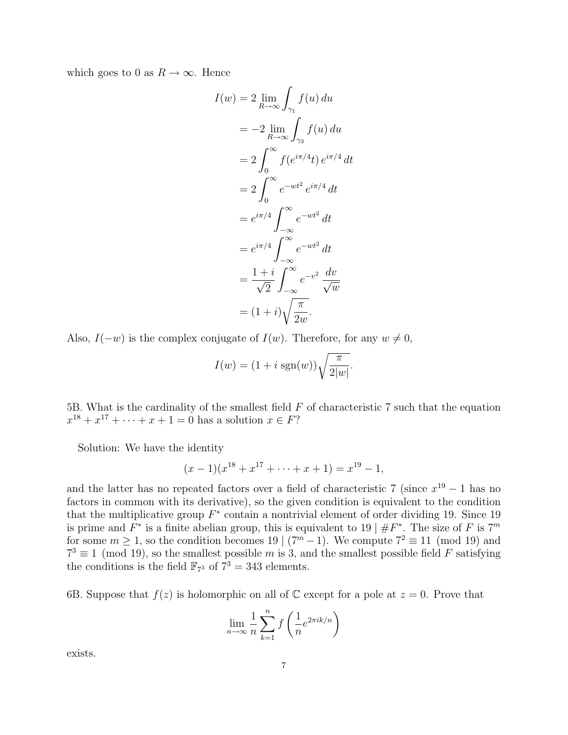which goes to 0 as  $R \to \infty$ . Hence

$$
I(w) = 2 \lim_{R \to \infty} \int_{\gamma_1} f(u) du
$$
  
=  $-2 \lim_{R \to \infty} \int_{\gamma_3} f(u) du$   
=  $2 \int_0^\infty f(e^{i\pi/4}t) e^{i\pi/4} dt$   
=  $2 \int_0^\infty e^{-wt^2} e^{i\pi/4} dt$   
=  $e^{i\pi/4} \int_{-\infty}^\infty e^{-wt^2} dt$   
=  $e^{i\pi/4} \int_{-\infty}^\infty e^{-wt^2} dt$   
=  $\frac{1+i}{\sqrt{2}} \int_{-\infty}^\infty e^{-v^2} \frac{dv}{\sqrt{w}}$   
=  $(1+i) \sqrt{\frac{\pi}{2w}}$ .

Also,  $I(-w)$  is the complex conjugate of  $I(w)$ . Therefore, for any  $w \neq 0$ ,

$$
I(w) = (1 + i \operatorname{sgn}(w)) \sqrt{\frac{\pi}{2|w|}}.
$$

5B. What is the cardinality of the smallest field  $F$  of characteristic 7 such that the equation  $x^{18} + x^{17} + \cdots + x + 1 = 0$  has a solution  $x \in F$ ?

Solution: We have the identity

$$
(x-1)(x^{18} + x^{17} + \dots + x + 1) = x^{19} - 1,
$$

and the latter has no repeated factors over a field of characteristic 7 (since  $x^{19} - 1$  has no factors in common with its derivative), so the given condition is equivalent to the condition that the multiplicative group  $F^*$  contain a nontrivial element of order dividing 19. Since 19 is prime and  $F^*$  is a finite abelian group, this is equivalent to 19 |  $\#F^*$ . The size of F is  $7^m$ for some  $m \ge 1$ , so the condition becomes 19  $|(7^m-1)$ . We compute  $7^2 \equiv 11 \pmod{19}$  and  $7^3 \equiv 1 \pmod{19}$ , so the smallest possible m is 3, and the smallest possible field F satisfying the conditions is the field  $\mathbb{F}_{7^3}$  of  $7^3 = 343$  elements.

6B. Suppose that  $f(z)$  is holomorphic on all of  $\mathbb C$  except for a pole at  $z = 0$ . Prove that

$$
\lim_{n \to \infty} \frac{1}{n} \sum_{k=1}^{n} f\left(\frac{1}{n} e^{2\pi i k/n}\right)
$$

exists.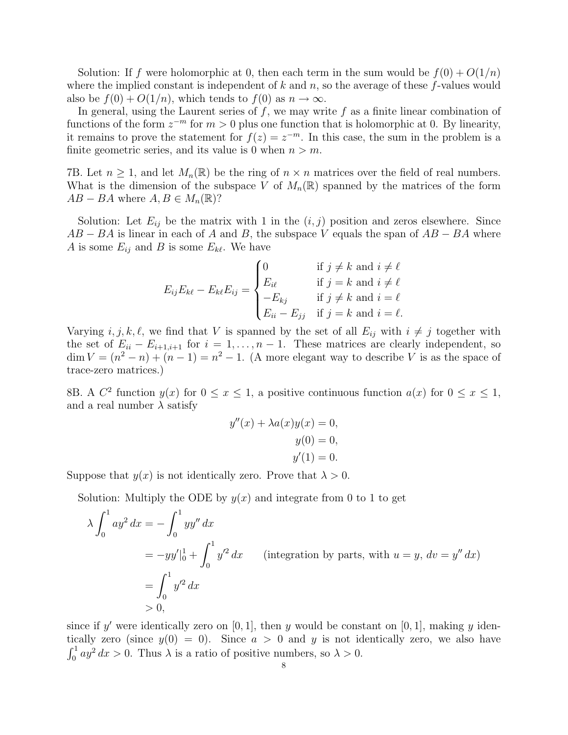Solution: If f were holomorphic at 0, then each term in the sum would be  $f(0) + O(1/n)$ where the implied constant is independent of  $k$  and  $n$ , so the average of these f-values would also be  $f(0) + O(1/n)$ , which tends to  $f(0)$  as  $n \to \infty$ .

In general, using the Laurent series of  $f$ , we may write  $f$  as a finite linear combination of functions of the form  $z^{-m}$  for  $m > 0$  plus one function that is holomorphic at 0. By linearity, it remains to prove the statement for  $f(z) = z^{-m}$ . In this case, the sum in the problem is a finite geometric series, and its value is 0 when  $n > m$ .

7B. Let  $n \geq 1$ , and let  $M_n(\mathbb{R})$  be the ring of  $n \times n$  matrices over the field of real numbers. What is the dimension of the subspace V of  $M_n(\mathbb{R})$  spanned by the matrices of the form  $AB - BA$  where  $A, B \in M_n(\mathbb{R})$ ?

Solution: Let  $E_{ij}$  be the matrix with 1 in the  $(i, j)$  position and zeros elsewhere. Since  $AB - BA$  is linear in each of A and B, the subspace V equals the span of  $AB - BA$  where A is some  $E_{ij}$  and B is some  $E_{k\ell}$ . We have

$$
E_{ij}E_{k\ell} - E_{k\ell}E_{ij} = \begin{cases} 0 & \text{if } j \neq k \text{ and } i \neq \ell \\ E_{i\ell} & \text{if } j = k \text{ and } i \neq \ell \\ -E_{kj} & \text{if } j \neq k \text{ and } i = \ell \\ E_{ii} - E_{jj} & \text{if } j = k \text{ and } i = \ell. \end{cases}
$$

Varying  $i, j, k, \ell$ , we find that V is spanned by the set of all  $E_{ij}$  with  $i \neq j$  together with the set of  $E_{ii} - E_{i+1,i+1}$  for  $i = 1, ..., n-1$ . These matrices are clearly independent, so  $\dim V = (n^2 - n) + (n - 1) = n^2 - 1$ . (A more elegant way to describe V is as the space of trace-zero matrices.)

8B. A  $C^2$  function  $y(x)$  for  $0 \le x \le 1$ , a positive continuous function  $a(x)$  for  $0 \le x \le 1$ , and a real number  $\lambda$  satisfy

$$
y''(x) + \lambda a(x)y(x) = 0,
$$
  

$$
y(0) = 0,
$$
  

$$
y'(1) = 0.
$$

Suppose that  $y(x)$  is not identically zero. Prove that  $\lambda > 0$ .

Solution: Multiply the ODE by  $y(x)$  and integrate from 0 to 1 to get

$$
\lambda \int_0^1 ay^2 dx = -\int_0^1 yy'' dx
$$
  
=  $-yy'|_0^1 + \int_0^1 y'^2 dx$  (integration by parts, with  $u = y$ ,  $dv = y'' dx$ )  
=  $\int_0^1 y'^2 dx$   
> 0,

since if y' were identically zero on [0, 1], then y would be constant on [0, 1], making y identically zero (since  $y(0) = 0$ ). Since  $a > 0$  and y is not identically zero, we also have  $\int_0^1 ay^2 dx > 0$ . Thus  $\lambda$  is a ratio of positive numbers, so  $\lambda > 0$ .